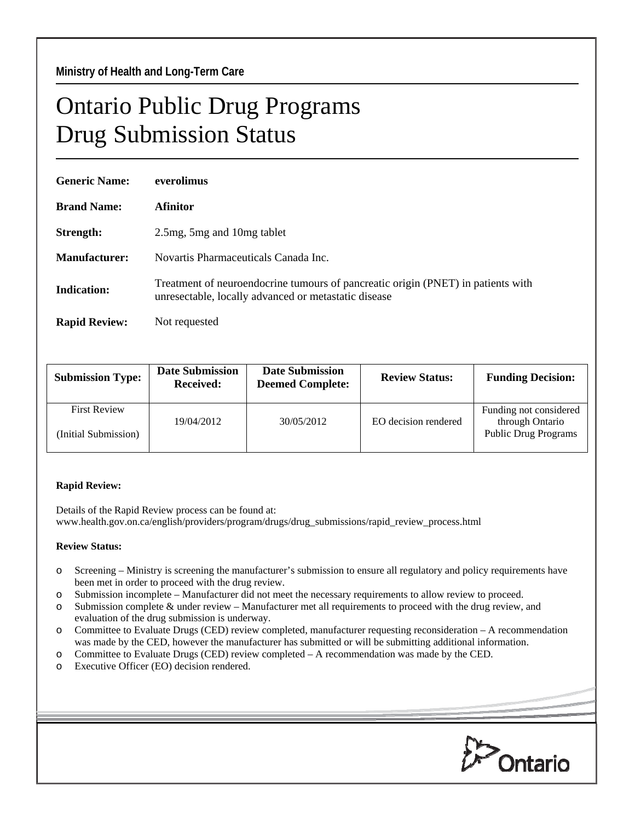## Ontario Public Drug Programs Drug Submission Status

| <b>Generic Name:</b> | everolimus                                                                                                                               |  |  |
|----------------------|------------------------------------------------------------------------------------------------------------------------------------------|--|--|
| <b>Brand Name:</b>   | Afinitor                                                                                                                                 |  |  |
| Strength:            | 2.5 mg, 5 mg and 10 mg tablet                                                                                                            |  |  |
| Manufacturer:        | Novartis Pharmaceuticals Canada Inc.                                                                                                     |  |  |
| <b>Indication:</b>   | Treatment of neuroendocrine tumours of pancreatic origin (PNET) in patients with<br>unresectable, locally advanced or metastatic disease |  |  |
| <b>Rapid Review:</b> | Not requested                                                                                                                            |  |  |

| <b>Submission Type:</b>                     | <b>Date Submission</b><br><b>Received:</b> | <b>Date Submission</b><br><b>Deemed Complete:</b> | <b>Review Status:</b> | <b>Funding Decision:</b>                                                 |
|---------------------------------------------|--------------------------------------------|---------------------------------------------------|-----------------------|--------------------------------------------------------------------------|
| <b>First Review</b><br>(Initial Submission) | 19/04/2012                                 | 30/05/2012                                        | EO decision rendered  | Funding not considered<br>through Ontario<br><b>Public Drug Programs</b> |

## **Rapid Review:**

Details of the Rapid Review process can be found at: www.health.gov.on.ca/english/providers/program/drugs/drug\_submissions/rapid\_review\_process.html

## **Review Status:**

- o Screening Ministry is screening the manufacturer's submission to ensure all regulatory and policy requirements have been met in order to proceed with the drug review.
- o Submission incomplete Manufacturer did not meet the necessary requirements to allow review to proceed.
- o Submission complete & under review Manufacturer met all requirements to proceed with the drug review, and evaluation of the drug submission is underway.
- o Committee to Evaluate Drugs (CED) review completed, manufacturer requesting reconsideration A recommendation was made by the CED, however the manufacturer has submitted or will be submitting additional information.
- o Committee to Evaluate Drugs (CED) review completed A recommendation was made by the CED.
- o Executive Officer (EO) decision rendered.